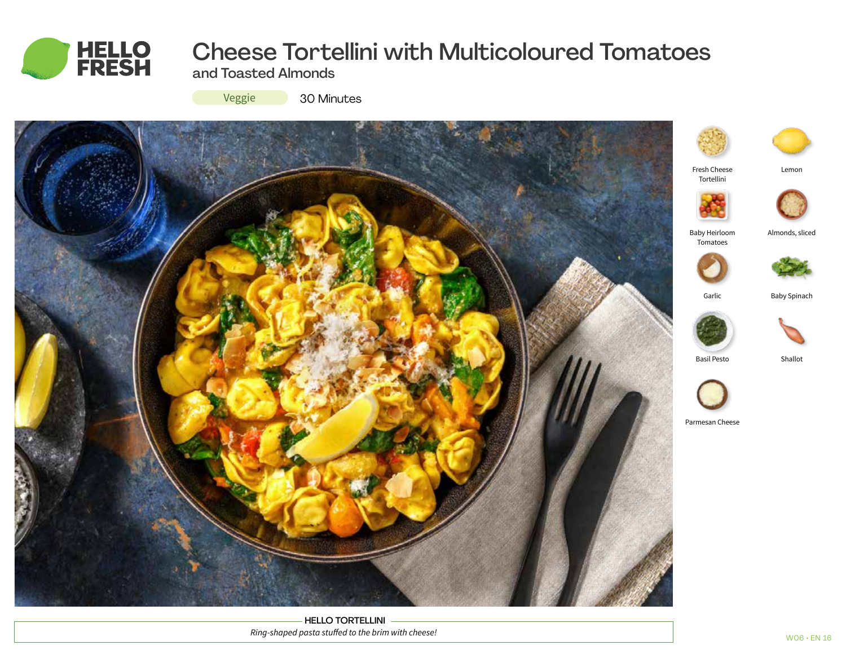

# Cheese Tortellini with Multicoloured Tomatoes

and Toasted Almonds

Veggie

30 Minutes



HELLO TORTELLINI *Ring-shaped pasta stuffed to the brim with cheese!*